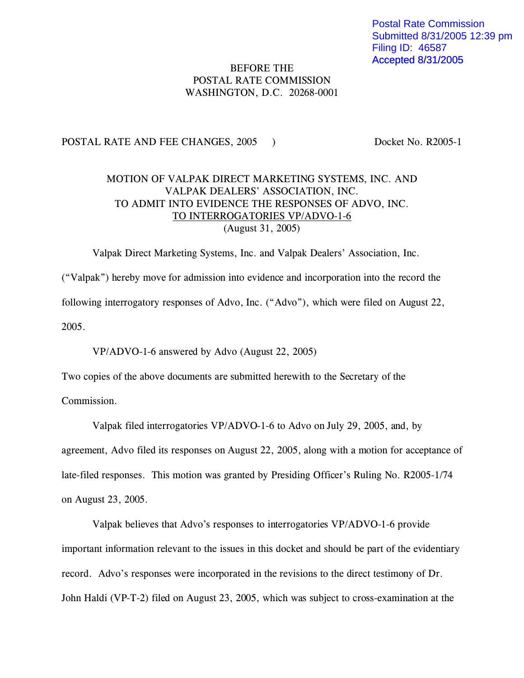Postal Rate Commission Submitted 8/31/2005 12:39 pm Filing ID: 46587 Accepted 8/31/2005

## BEFORE THE POSTAL RATE COMMISSION WASHINGTON, D.C. 20268-0001

## POSTAL RATE AND FEE CHANGES, 2005 ) Docket No. R2005-1

## MOTION OF VALPAK DIRECT MARKETING SYSTEMS, INC. AND VALPAK DEALERS' ASSOCIATION, INC. TO ADMIT INTO EVIDENCE THE RESPONSES OF ADVO, INC. TO INTERROGATORIES VP/ADVO-1-6 (August 31, 2005)

Valpak Direct Marketing Systems, Inc. and Valpak Dealers' Association, Inc. ("Valpak") hereby move for admission into evidence and incorporation into the record the following interrogatory responses of Advo, Inc. ("Advo"), which were filed on August 22, 2005.

VP/ADVO-1-6 answered by Advo (August 22, 2005)

Two copies of the above documents are submitted herewith to the Secretary of the

Commission.

Valpak filed interrogatories VP/ADVO-1-6 to Advo on July 29, 2005, and, by

agreement, Advo filed its responses on August 22, 2005, along with a motion for acceptance of late-filed responses. This motion was granted by Presiding Officer's Ruling No. R2005-1/74 on August 23, 2005.

Valpak believes that Advo's responses to interrogatories VP/ADVO-1-6 provide important information relevant to the issues in this docket and should be part of the evidentiary record. Advo's responses were incorporated in the revisions to the direct testimony of Dr. John Haldi (VP-T-2) filed on August 23, 2005, which was subject to cross-examination at the